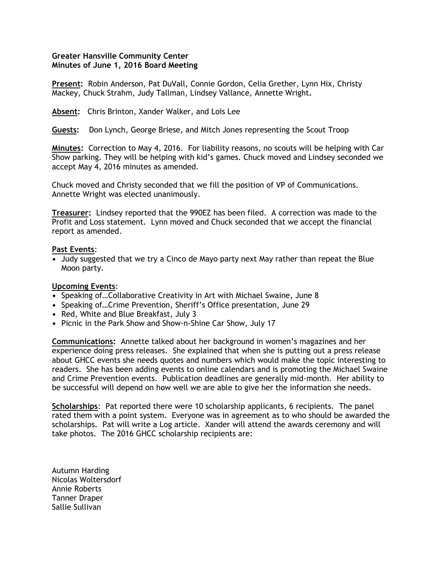## **Greater Hansville Community Center Minutes of June 1, 2016 Board Meeting**

**Present:** Robin Anderson, Pat DuVall, Connie Gordon, Celia Grether, Lynn Hix, Christy Mackey, Chuck Strahm, Judy Tallman, Lindsey Vallance, Annette Wright**.**

**Absent:** Chris Brinton, Xander Walker, and Lois Lee

**Guests:** Don Lynch, George Briese, and Mitch Jones representing the Scout Troop

**Minutes:** Correction to May 4, 2016. For liability reasons, no scouts will be helping with Car Show parking. They will be helping with kid's games. Chuck moved and Lindsey seconded we accept May 4, 2016 minutes as amended.

Chuck moved and Christy seconded that we fill the position of VP of Communications. Annette Wright was elected unanimously.

**Treasurer:** Lindsey reported that the 990EZ has been filed. A correction was made to the Profit and Loss statement. Lynn moved and Chuck seconded that we accept the financial report as amended.

## **Past Events**:

**•** Judy suggested that we try a Cinco de Mayo party next May rather than repeat the Blue Moon party.

## **Upcoming Events**:

- **•** Speaking of…Collaborative Creativity in Art with Michael Swaine, June 8
- **•** Speaking of…Crime Prevention, Sheriff's Office presentation, June 29
- **•** Red, White and Blue Breakfast, July 3
- **•** Picnic in the Park Show and Show-n-Shine Car Show, July 17

**Communications:** Annette talked about her background in women's magazines and her experience doing press releases. She explained that when she is putting out a press release about GHCC events she needs quotes and numbers which would make the topic interesting to readers. She has been adding events to online calendars and is promoting the Michael Swaine and Crime Prevention events. Publication deadlines are generally mid-month. Her ability to be successful will depend on how well we are able to give her the information she needs.

**Scholarships**: Pat reported there were 10 scholarship applicants, 6 recipients. The panel rated them with a point system. Everyone was in agreement as to who should be awarded the scholarships. Pat will write a Log article. Xander will attend the awards ceremony and will take photos. The 2016 GHCC scholarship recipients are:

Autumn Harding Nicolas Woltersdorf Annie Roberts Tanner Draper Sallie Sullivan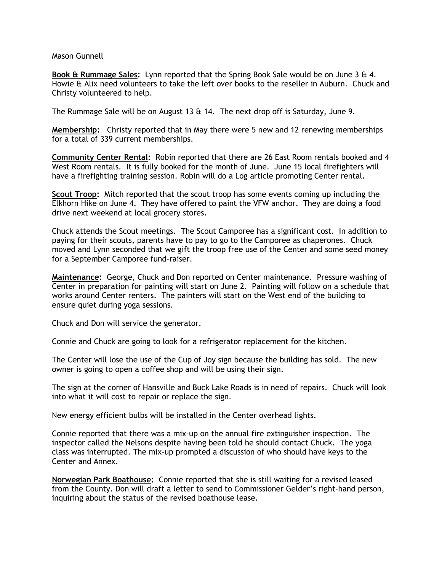## Mason Gunnell

**Book & Rummage Sales:** Lynn reported that the Spring Book Sale would be on June 3 & 4. Howie & Alix need volunteers to take the left over books to the reseller in Auburn. Chuck and Christy volunteered to help.

The Rummage Sale will be on August 13  $\&$  14. The next drop off is Saturday, June 9.

**Membership:** Christy reported that in May there were 5 new and 12 renewing memberships for a total of 339 current memberships.

**Community Center Rental:** Robin reported that there are 26 East Room rentals booked and 4 West Room rentals. It is fully booked for the month of June. June 15 local firefighters will have a firefighting training session. Robin will do a Log article promoting Center rental.

**Scout Troop:** Mitch reported that the scout troop has some events coming up including the Elkhorn Hike on June 4. They have offered to paint the VFW anchor. They are doing a food drive next weekend at local grocery stores.

Chuck attends the Scout meetings. The Scout Camporee has a significant cost. In addition to paying for their scouts, parents have to pay to go to the Camporee as chaperones. Chuck moved and Lynn seconded that we gift the troop free use of the Center and some seed money for a September Camporee fund-raiser.

**Maintenance:** George, Chuck and Don reported on Center maintenance. Pressure washing of Center in preparation for painting will start on June 2. Painting will follow on a schedule that works around Center renters. The painters will start on the West end of the building to ensure quiet during yoga sessions.

Chuck and Don will service the generator.

Connie and Chuck are going to look for a refrigerator replacement for the kitchen.

The Center will lose the use of the Cup of Joy sign because the building has sold. The new owner is going to open a coffee shop and will be using their sign.

The sign at the corner of Hansville and Buck Lake Roads is in need of repairs. Chuck will look into what it will cost to repair or replace the sign.

New energy efficient bulbs will be installed in the Center overhead lights.

Connie reported that there was a mix-up on the annual fire extinguisher inspection. The inspector called the Nelsons despite having been told he should contact Chuck. The yoga class was interrupted. The mix-up prompted a discussion of who should have keys to the Center and Annex.

**Norwegian Park Boathouse:** Connie reported that she is still waiting for a revised leased from the County. Don will draft a letter to send to Commissioner Gelder's right-hand person, inquiring about the status of the revised boathouse lease.